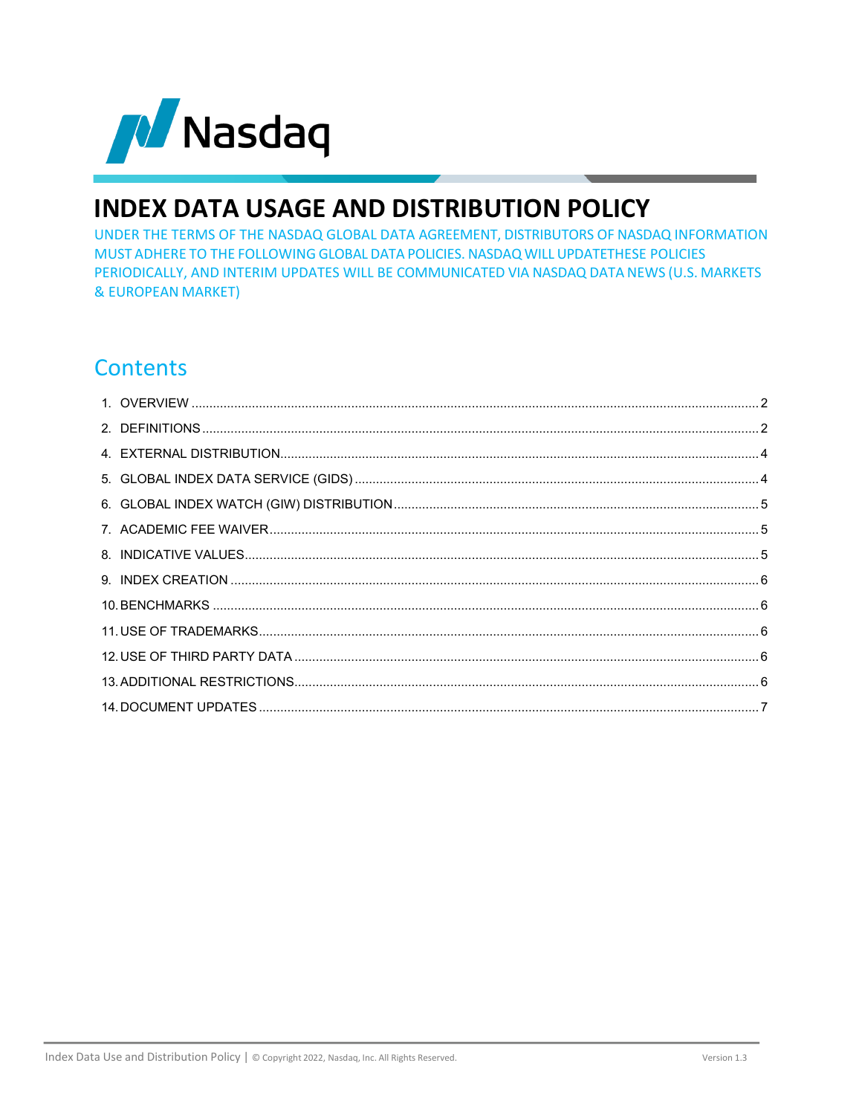

# **INDEX DATA USAGE AND DISTRIBUTION POLICY**

UNDER THE TERMS OF THE NASDAQ GLOBAL DATA AGREEMENT, DISTRIBUTORS OF NASDAQ INFORMATION MUST ADHERE TO THE FOLLOWING GLOBAL DATA POLICIES. NASDAQ WILL UPDATETHESE POLICIES PERIODICALLY, AND INTERIM UPDATES WILL BE COMMUNICATED VIA NASDAQ DATA NEWS (U.S. MARKETS & EUROPEAN MARKET)

# **Contents**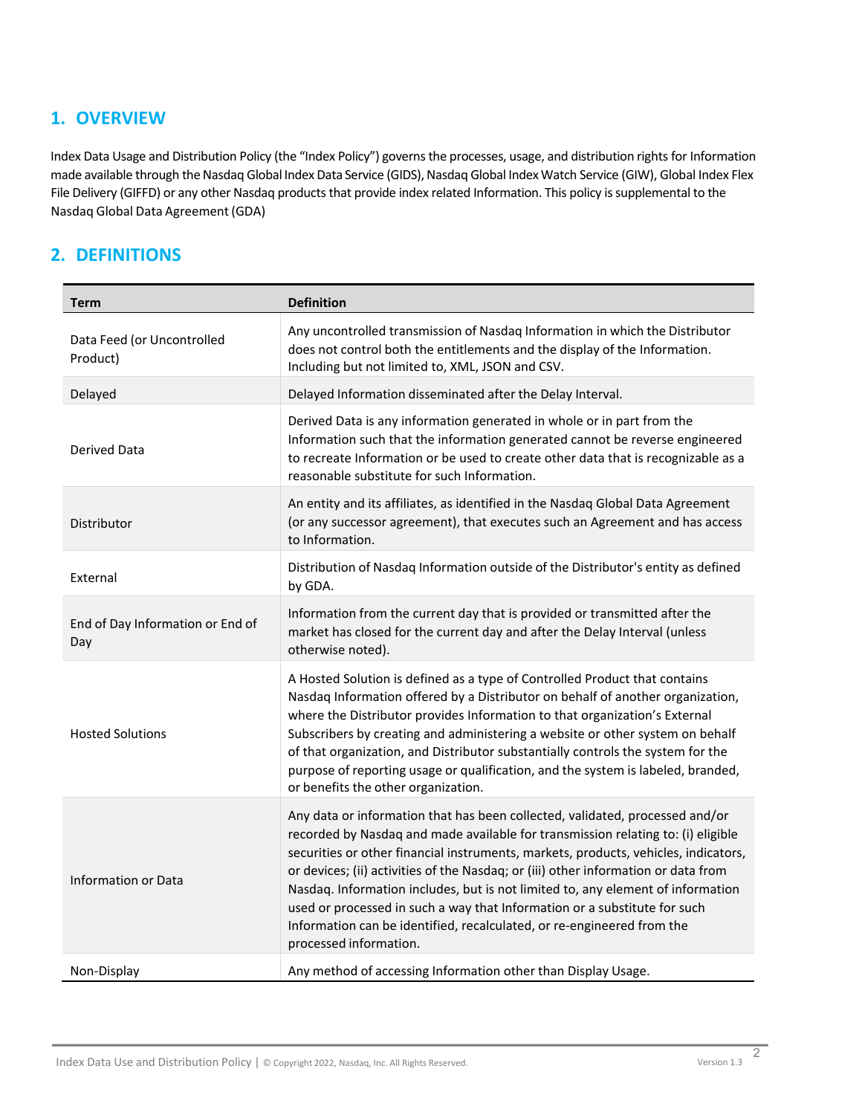# <span id="page-1-0"></span>**1. OVERVIEW**

Index Data Usage and Distribution Policy (the "Index Policy") governs the processes, usage, and distribution rights for Information made available through the Nasdaq Global Index Data Service (GIDS), Nasdaq Global Index Watch Service (GIW), Global Index Flex File Delivery (GIFFD) or any other Nasdaq products that provide index related Information. This policy is supplemental to the Nasdaq Global Data Agreement(GDA)

# <span id="page-1-1"></span>**2. DEFINITIONS**

| <b>Term</b>                             | <b>Definition</b>                                                                                                                                                                                                                                                                                                                                                                                                                                                                                                                                                                                                 |
|-----------------------------------------|-------------------------------------------------------------------------------------------------------------------------------------------------------------------------------------------------------------------------------------------------------------------------------------------------------------------------------------------------------------------------------------------------------------------------------------------------------------------------------------------------------------------------------------------------------------------------------------------------------------------|
| Data Feed (or Uncontrolled<br>Product)  | Any uncontrolled transmission of Nasdaq Information in which the Distributor<br>does not control both the entitlements and the display of the Information.<br>Including but not limited to, XML, JSON and CSV.                                                                                                                                                                                                                                                                                                                                                                                                    |
| Delayed                                 | Delayed Information disseminated after the Delay Interval.                                                                                                                                                                                                                                                                                                                                                                                                                                                                                                                                                        |
| Derived Data                            | Derived Data is any information generated in whole or in part from the<br>Information such that the information generated cannot be reverse engineered<br>to recreate Information or be used to create other data that is recognizable as a<br>reasonable substitute for such Information.                                                                                                                                                                                                                                                                                                                        |
| Distributor                             | An entity and its affiliates, as identified in the Nasdaq Global Data Agreement<br>(or any successor agreement), that executes such an Agreement and has access<br>to Information.                                                                                                                                                                                                                                                                                                                                                                                                                                |
| External                                | Distribution of Nasdaq Information outside of the Distributor's entity as defined<br>by GDA.                                                                                                                                                                                                                                                                                                                                                                                                                                                                                                                      |
| End of Day Information or End of<br>Day | Information from the current day that is provided or transmitted after the<br>market has closed for the current day and after the Delay Interval (unless<br>otherwise noted).                                                                                                                                                                                                                                                                                                                                                                                                                                     |
| <b>Hosted Solutions</b>                 | A Hosted Solution is defined as a type of Controlled Product that contains<br>Nasdaq Information offered by a Distributor on behalf of another organization,<br>where the Distributor provides Information to that organization's External<br>Subscribers by creating and administering a website or other system on behalf<br>of that organization, and Distributor substantially controls the system for the<br>purpose of reporting usage or qualification, and the system is labeled, branded,<br>or benefits the other organization.                                                                         |
| Information or Data                     | Any data or information that has been collected, validated, processed and/or<br>recorded by Nasdaq and made available for transmission relating to: (i) eligible<br>securities or other financial instruments, markets, products, vehicles, indicators,<br>or devices; (ii) activities of the Nasdaq; or (iii) other information or data from<br>Nasdaq. Information includes, but is not limited to, any element of information<br>used or processed in such a way that Information or a substitute for such<br>Information can be identified, recalculated, or re-engineered from the<br>processed information. |
| Non-Display                             | Any method of accessing Information other than Display Usage.                                                                                                                                                                                                                                                                                                                                                                                                                                                                                                                                                     |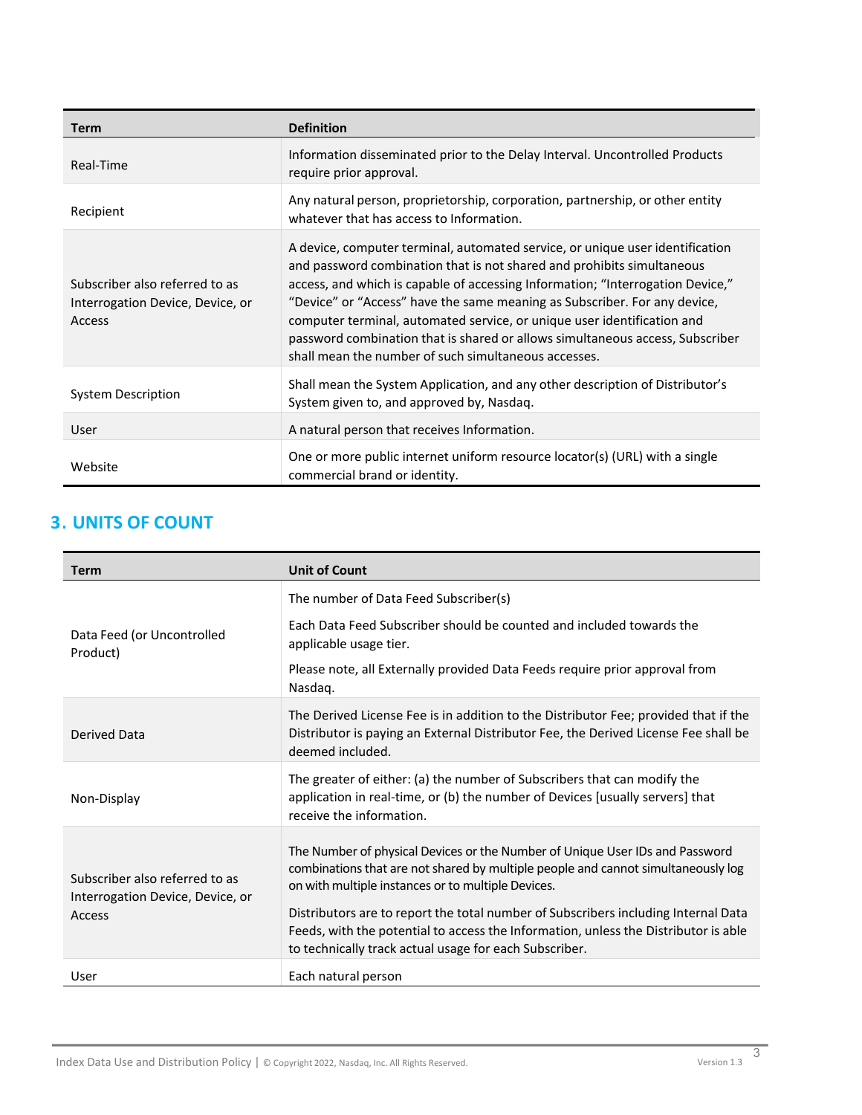| <b>Term</b>                                                                  | <b>Definition</b>                                                                                                                                                                                                                                                                                                                                                                                                                                                                                                                          |
|------------------------------------------------------------------------------|--------------------------------------------------------------------------------------------------------------------------------------------------------------------------------------------------------------------------------------------------------------------------------------------------------------------------------------------------------------------------------------------------------------------------------------------------------------------------------------------------------------------------------------------|
| Real-Time                                                                    | Information disseminated prior to the Delay Interval. Uncontrolled Products<br>require prior approval.                                                                                                                                                                                                                                                                                                                                                                                                                                     |
| Recipient                                                                    | Any natural person, proprietorship, corporation, partnership, or other entity<br>whatever that has access to Information.                                                                                                                                                                                                                                                                                                                                                                                                                  |
| Subscriber also referred to as<br>Interrogation Device, Device, or<br>Access | A device, computer terminal, automated service, or unique user identification<br>and password combination that is not shared and prohibits simultaneous<br>access, and which is capable of accessing Information; "Interrogation Device,"<br>"Device" or "Access" have the same meaning as Subscriber. For any device,<br>computer terminal, automated service, or unique user identification and<br>password combination that is shared or allows simultaneous access, Subscriber<br>shall mean the number of such simultaneous accesses. |
| System Description                                                           | Shall mean the System Application, and any other description of Distributor's<br>System given to, and approved by, Nasdag.                                                                                                                                                                                                                                                                                                                                                                                                                 |
| User                                                                         | A natural person that receives Information.                                                                                                                                                                                                                                                                                                                                                                                                                                                                                                |
| Website                                                                      | One or more public internet uniform resource locator(s) (URL) with a single<br>commercial brand or identity.                                                                                                                                                                                                                                                                                                                                                                                                                               |

# **3 . UNITS OF COUNT**

| <b>Term</b>                                                                         | <b>Unit of Count</b>                                                                                                                                                                                                                                                                                                                                                                                 |
|-------------------------------------------------------------------------------------|------------------------------------------------------------------------------------------------------------------------------------------------------------------------------------------------------------------------------------------------------------------------------------------------------------------------------------------------------------------------------------------------------|
| Data Feed (or Uncontrolled<br>Product)                                              | The number of Data Feed Subscriber(s)                                                                                                                                                                                                                                                                                                                                                                |
|                                                                                     | Each Data Feed Subscriber should be counted and included towards the<br>applicable usage tier.                                                                                                                                                                                                                                                                                                       |
|                                                                                     | Please note, all Externally provided Data Feeds require prior approval from<br>Nasdaq.                                                                                                                                                                                                                                                                                                               |
| Derived Data                                                                        | The Derived License Fee is in addition to the Distributor Fee; provided that if the<br>Distributor is paying an External Distributor Fee, the Derived License Fee shall be<br>deemed included.                                                                                                                                                                                                       |
| Non-Display                                                                         | The greater of either: (a) the number of Subscribers that can modify the<br>application in real-time, or (b) the number of Devices [usually servers] that<br>receive the information.                                                                                                                                                                                                                |
| Subscriber also referred to as<br>Interrogation Device, Device, or<br><b>Access</b> | The Number of physical Devices or the Number of Unique User IDs and Password<br>combinations that are not shared by multiple people and cannot simultaneously log<br>on with multiple instances or to multiple Devices.<br>Distributors are to report the total number of Subscribers including Internal Data<br>Feeds, with the potential to access the Information, unless the Distributor is able |
| User                                                                                | to technically track actual usage for each Subscriber.<br>Each natural person                                                                                                                                                                                                                                                                                                                        |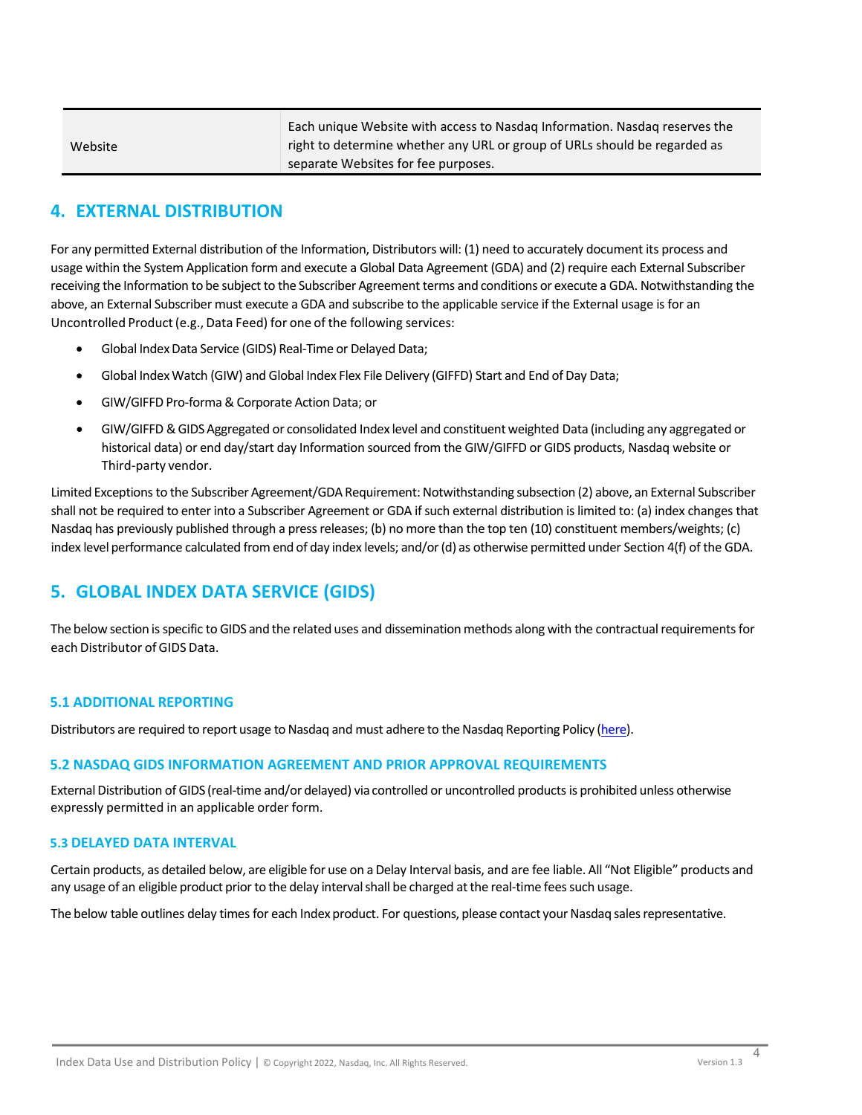|         | Each unique Website with access to Nasdag Information. Nasdag reserves the |
|---------|----------------------------------------------------------------------------|
| Website | right to determine whether any URL or group of URLs should be regarded as  |
|         | separate Websites for fee purposes.                                        |
|         |                                                                            |

# <span id="page-3-0"></span>**4. EXTERNAL DISTRIBUTION**

For any permitted External distribution of the Information, Distributors will: (1) need to accurately document its process and usage within the System Application form and execute a Global Data Agreement (GDA) and (2) require each External Subscriber receiving the Information to be subject to the Subscriber Agreement terms and conditions or execute a GDA. Notwithstanding the above, an External Subscriber must execute a GDA and subscribe to the applicable service if the External usage is for an Uncontrolled Product(e.g., Data Feed) for one of the following services:

- Global Index Data Service (GIDS) Real-Time or Delayed Data;
- Global IndexWatch (GIW) and Global Index Flex File Delivery (GIFFD) Start and End of Day Data;
- GIW/GIFFD Pro-forma & Corporate Action Data; or
- GIW/GIFFD &GIDSAggregated or consolidated Index level and constituentweighted Data (including any aggregated or historical data) or end day/start day Information sourced from the GIW/GIFFD or GIDS products, Nasdaq website or Third-party vendor.

Limited Exceptions to the Subscriber Agreement/GDA Requirement: Notwithstanding subsection (2) above, an External Subscriber shall not be required to enter into a Subscriber Agreement or GDA if such external distribution is limited to: (a) index changes that Nasdaq has previously published through a press releases; (b) no more than the top ten (10) constituent members/weights; (c) index level performance calculated fromend of day index levels; and/or(d) as otherwise permitted under Section 4(f) of the GDA.

# <span id="page-3-1"></span>**5. GLOBAL INDEX DATA SERVICE (GIDS)**

The below section is specific to GIDS and the related uses and dissemination methods along with the contractual requirements for each Distributor of GIDS Data.

### **5.1 ADDITIONAL REPORTING**

Distributors are required to report usage to Nasdaq and must adhere to the Nasdaq Reporting Policy [\(here\).](http://www.nasdaqtrader.com/content/AdministrationSupport/Policy/REPORTINGPOLICY.pdf)

### **5.2 NASDAQ GIDS INFORMATION AGREEMENT AND PRIOR APPROVAL REQUIREMENTS**

External Distribution of GIDS (real-time and/or delayed) via controlled or uncontrolled products is prohibited unless otherwise expressly permitted in an applicable order form.

#### **5.3 DELAYED DATA INTERVAL**

Certain products, as detailed below, are eligible for use on a Delay Interval basis, and are fee liable. All "Not Eligible" products and any usage of an eligible product prior to the delay interval shall be charged at the real-time fees such usage.

The below table outlines delay times for each Index product. For questions, please contact your Nasdaq sales representative.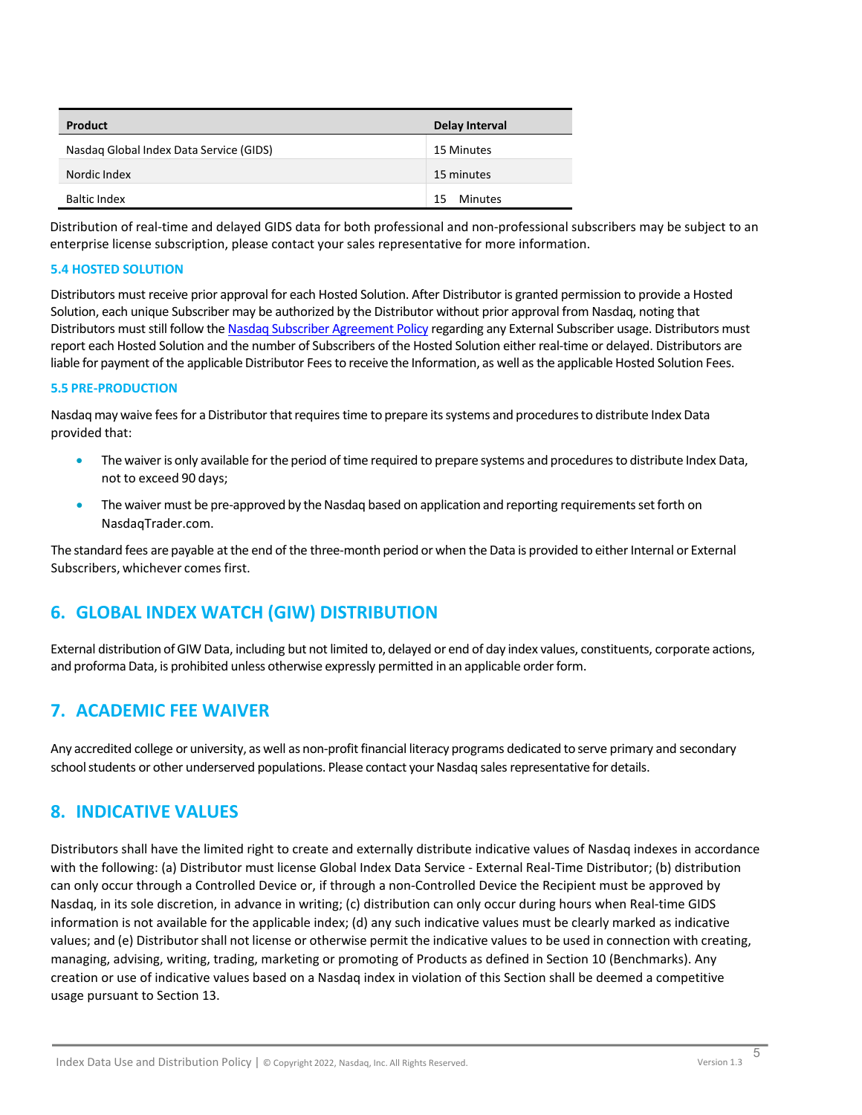| <b>Product</b>                          | Delay Interval       |
|-----------------------------------------|----------------------|
| Nasdag Global Index Data Service (GIDS) | 15 Minutes           |
| Nordic Index                            | 15 minutes           |
| <b>Baltic Index</b>                     | <b>Minutes</b><br>15 |

Distribution of real-time and delayed GIDS data for both professional and non-professional subscribers may be subject to an enterprise license subscription, please contact your sales representative for more information.

#### **5.4 HOSTED SOLUTION**

Distributors must receive prior approval for each Hosted Solution. After Distributor is granted permission to provide a Hosted Solution, each unique Subscriber may be authorized by the Distributor without prior approval from Nasdaq, noting that Distributors must still follow th[e Nasdaq Subscriber Agreement Policy](http://www.nasdaqtrader.com/content/AdministrationSupport/Policy/SUBSCRIBERAGREEMENTPOLICY.pdf) regarding any External Subscriber usage. Distributors must report each Hosted Solution and the number of Subscribers of the Hosted Solution either real-time or delayed. Distributors are liable for payment of the applicable Distributor Fees to receive the Information, as well as the applicable Hosted Solution Fees.

#### **5.5 PRE-PRODUCTION**

Nasdag may waive fees for a Distributor that requires time to prepare its systems and procedures to distribute Index Data provided that:

- The waiver is only available for the period of time required to prepare systems and procedures to distribute Index Data, not to exceed 90 days;
- The waiver must be pre-approved by the Nasdaq based on application and reporting requirements set forth on NasdaqTrader.com.

The standard fees are payable at the end of the three-month period or when the Data is provided to either Internal or External Subscribers, whichever comes first.

# <span id="page-4-0"></span>**6. GLOBAL INDEX WATCH (GIW) DISTRIBUTION**

External distribution ofGIW Data, including but not limited to, delayed or end of day index values, constituents, corporate actions, and proforma Data, is prohibited unless otherwise expressly permitted in an applicable order form.

## <span id="page-4-1"></span>**7. ACADEMIC FEE WAIVER**

Any accredited college or university, as well as non-profit financial literacy programs dedicated to serve primary and secondary school students or other underserved populations. Please contact your Nasdaq sales representative for details.

## <span id="page-4-2"></span>**8. INDICATIVE VALUES**

Distributors shall have the limited right to create and externally distribute indicative values of Nasdaq indexes in accordance with the following: (a) Distributor must license Global Index Data Service - External Real-Time Distributor; (b) distribution can only occur through a Controlled Device or, if through a non-Controlled Device the Recipient must be approved by Nasdaq, in its sole discretion, in advance in writing; (c) distribution can only occur during hours when Real-time GIDS information is not available for the applicable index; (d) any such indicative values must be clearly marked as indicative values; and (e) Distributor shall not license or otherwise permit the indicative values to be used in connection with creating, managing, advising, writing, trading, marketing or promoting of Products as defined in Section 10 (Benchmarks). Any creation or use of indicative values based on a Nasdaq index in violation of this Section shall be deemed a competitive usage pursuant to Section 13.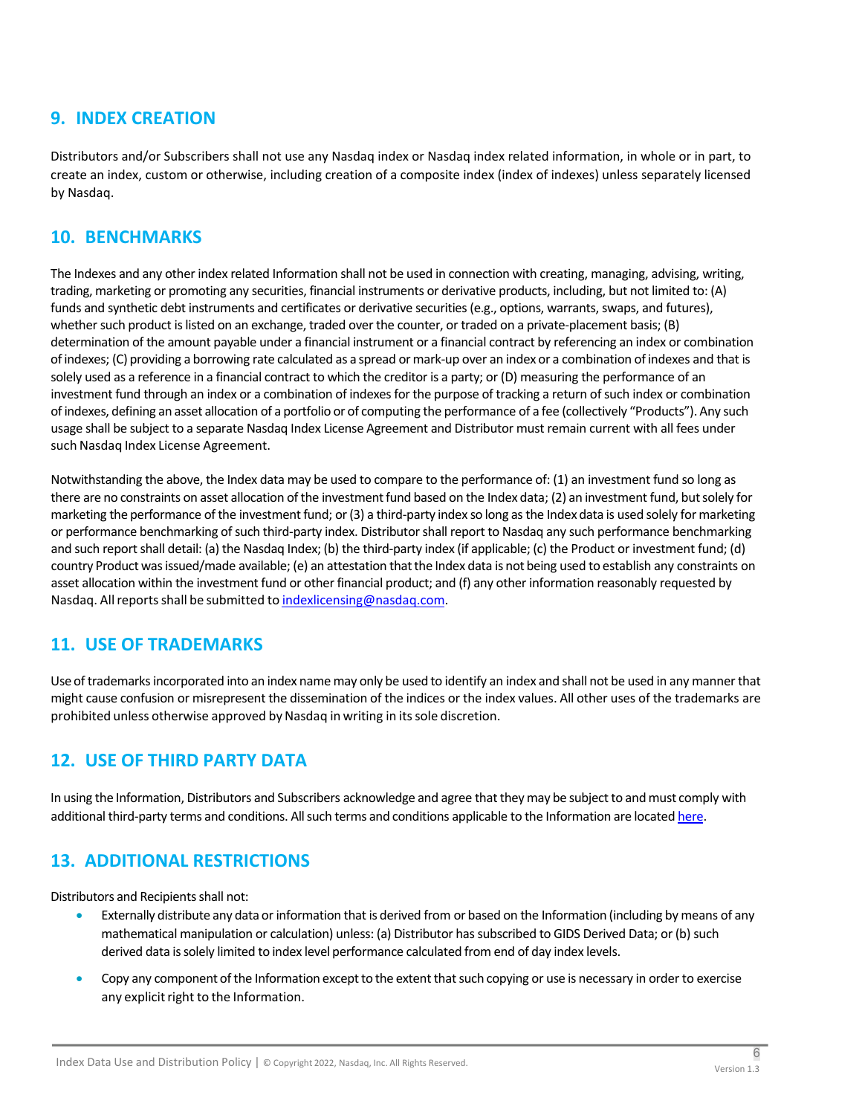# <span id="page-5-0"></span>**9. INDEX CREATION**

Distributors and/or Subscribers shall not use any Nasdaq index or Nasdaq index related information, in whole or in part, to create an index, custom or otherwise, including creation of a composite index (index of indexes) unless separately licensed by Nasdaq.

## <span id="page-5-1"></span>**10. BENCHMARKS**

The Indexes and any other index related Information shall not be used in connection with creating, managing, advising, writing, trading, marketing or promoting any securities, financial instruments or derivative products, including, but not limited to: (A) funds and synthetic debt instruments and certificates or derivative securities (e.g., options, warrants, swaps, and futures), whether such product is listed on an exchange, traded over the counter, or traded on a private-placement basis; (B) determination of the amount payable under a financial instrument or a financial contract by referencing an index or combination ofindexes; (C) providing a borrowing rate calculated as a spread ormark-up over an index or a combination ofindexes and that is solely used as a reference in a financial contract to which the creditor is a party; or (D) measuring the performance of an investment fund through an index or a combination of indexes for the purpose of tracking a return of such index or combination ofindexes, defining an asset allocation of a portfolio or of computing the performance of a fee (collectively "Products"). Any such usage shall be subject to a separate Nasdaq Index License Agreement and Distributor must remain current with all fees under such Nasdaq Index License Agreement.

Notwithstanding the above, the Index data may be used to compare to the performance of: (1) an investment fund so long as there are no constraints on asset allocation of the investment fund based on the Index data; (2) an investment fund, but solely for marketing the performance of the investment fund; or (3) a third-party index so long as the Index data is used solely for marketing or performance benchmarking of such third-party index. Distributor shall report to Nasdaq any such performance benchmarking and such report shall detail: (a) the Nasdaq Index; (b) the third-party index (if applicable; (c) the Product or investment fund; (d) country Product wasissued/made available; (e) an attestation thatthe Index data is not being used to establish any constraints on asset allocation within the investment fund or other financial product; and (f) any other information reasonably requested by Nasdaq. All reports shall be submitted to [indexlicensing@nasdaq.com.](mailto:indexlicensing@nasdaq.com)

# <span id="page-5-2"></span>**11. USE OF TRADEMARKS**

Use of trademarksincorporated into an index name may only be used to identify an index and shall not be used in any mannerthat might cause confusion or misrepresent the dissemination of the indices or the index values. All other uses of the trademarks are prohibited unless otherwise approved by Nasdaq in writing in its sole discretion.

# <span id="page-5-3"></span>**12. USE OF THIRD PARTY DATA**

In using the Information, Distributors and Subscribers acknowledge and agree that they may be subject to and must comply with additional third-party terms and conditions. All such terms and conditions applicable to the Information are located [here.](http://www.nasdaqtrader.com/content/AdministrationSupport/Policy/ThirdPartyDataLicenseTermsandConditions.pdf)

# <span id="page-5-4"></span>**13. ADDITIONAL RESTRICTIONS**

Distributors and Recipients shall not:

- Externally distribute any data or information that is derived from or based on the Information (including by means of any mathematical manipulation or calculation) unless: (a) Distributor has subscribed to GIDS Derived Data; or (b) such derived data issolely limited to index level performance calculated from end of day index levels.
- Copy any component of the Information except to the extent that such copying or use is necessary in order to exercise any explicit right to the Information.